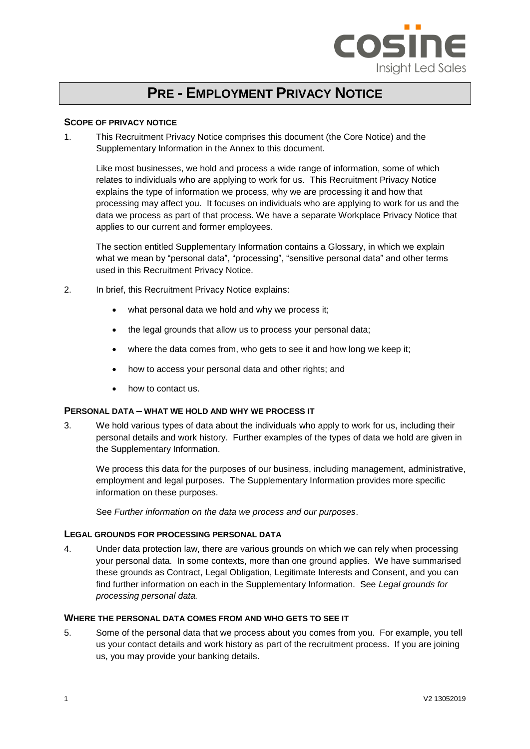

# **PRE - EMPLOYMENT PRIVACY NOTICE**

## **SCOPE OF PRIVACY NOTICE**

1. This Recruitment Privacy Notice comprises this document (the Core Notice) and the Supplementary Information in the Annex to this document.

Like most businesses, we hold and process a wide range of information, some of which relates to individuals who are applying to work for us. This Recruitment Privacy Notice explains the type of information we process, why we are processing it and how that processing may affect you. It focuses on individuals who are applying to work for us and the data we process as part of that process. We have a separate Workplace Privacy Notice that applies to our current and former employees.

The section entitled Supplementary Information contains a Glossary, in which we explain what we mean by "personal data", "processing", "sensitive personal data" and other terms used in this Recruitment Privacy Notice.

- 2. In brief, this Recruitment Privacy Notice explains:
	- what personal data we hold and why we process it;
	- the legal grounds that allow us to process your personal data;
	- where the data comes from, who gets to see it and how long we keep it:
	- how to access your personal data and other rights; and
	- how to contact us.

## **PERSONAL DATA – WHAT WE HOLD AND WHY WE PROCESS IT**

3. We hold various types of data about the individuals who apply to work for us, including their personal details and work history. Further examples of the types of data we hold are given in the Supplementary Information.

We process this data for the purposes of our business, including management, administrative, employment and legal purposes. The Supplementary Information provides more specific information on these purposes.

See *Further information on the data we process and our purposes*.

#### **LEGAL GROUNDS FOR PROCESSING PERSONAL DATA**

4. Under data protection law, there are various grounds on which we can rely when processing your personal data. In some contexts, more than one ground applies. We have summarised these grounds as Contract, Legal Obligation, Legitimate Interests and Consent, and you can find further information on each in the Supplementary Information. See *Legal grounds for processing personal data.*

## **WHERE THE PERSONAL DATA COMES FROM AND WHO GETS TO SEE IT**

5. Some of the personal data that we process about you comes from you. For example, you tell us your contact details and work history as part of the recruitment process. If you are joining us, you may provide your banking details.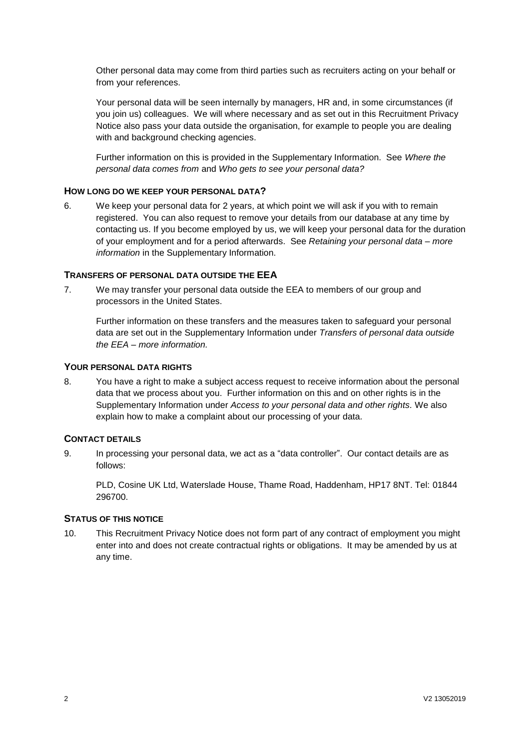Other personal data may come from third parties such as recruiters acting on your behalf or from your references.

Your personal data will be seen internally by managers, HR and, in some circumstances (if you join us) colleagues. We will where necessary and as set out in this Recruitment Privacy Notice also pass your data outside the organisation, for example to people you are dealing with and background checking agencies.

Further information on this is provided in the Supplementary Information. See *Where the personal data comes from* and *Who gets to see your personal data?* 

# **HOW LONG DO WE KEEP YOUR PERSONAL DATA?**

6. We keep your personal data for 2 years, at which point we will ask if you with to remain registered. You can also request to remove your details from our database at any time by contacting us. If you become employed by us, we will keep your personal data for the duration of your employment and for a period afterwards. See *Retaining your personal data – more information* in the Supplementary Information.

## **TRANSFERS OF PERSONAL DATA OUTSIDE THE EEA**

7. We may transfer your personal data outside the EEA to members of our group and processors in the United States.

Further information on these transfers and the measures taken to safeguard your personal data are set out in the Supplementary Information under *Transfers of personal data outside the EEA – more information.*

## **YOUR PERSONAL DATA RIGHTS**

8. You have a right to make a subject access request to receive information about the personal data that we process about you. Further information on this and on other rights is in the Supplementary Information under *Access to your personal data and other rights.* We also explain how to make a complaint about our processing of your data.

#### **CONTACT DETAILS**

9. In processing your personal data, we act as a "data controller". Our contact details are as follows:

PLD, Cosine UK Ltd, Waterslade House, Thame Road, Haddenham, HP17 8NT. Tel: 01844 296700.

#### **STATUS OF THIS NOTICE**

10. This Recruitment Privacy Notice does not form part of any contract of employment you might enter into and does not create contractual rights or obligations. It may be amended by us at any time.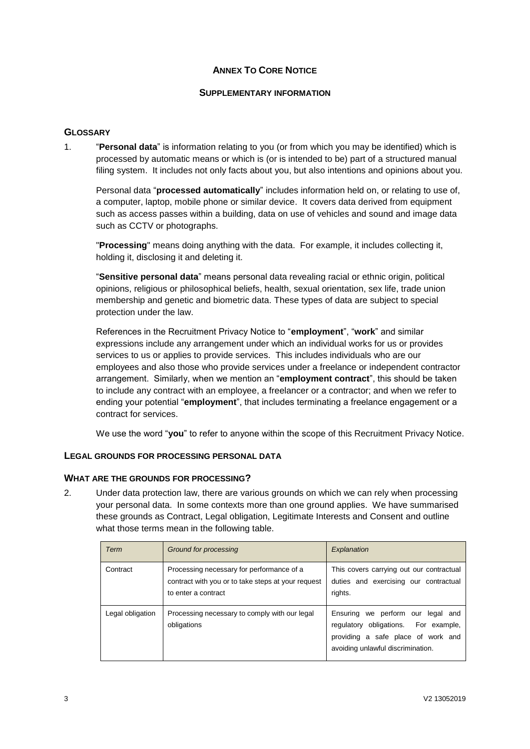# **ANNEX TO CORE NOTICE**

# **SUPPLEMENTARY INFORMATION**

# **GLOSSARY**

1. "**Personal data**" is information relating to you (or from which you may be identified) which is processed by automatic means or which is (or is intended to be) part of a structured manual filing system. It includes not only facts about you, but also intentions and opinions about you.

Personal data "**processed automatically**" includes information held on, or relating to use of, a computer, laptop, mobile phone or similar device. It covers data derived from equipment such as access passes within a building, data on use of vehicles and sound and image data such as CCTV or photographs.

"**Processing**" means doing anything with the data. For example, it includes collecting it, holding it, disclosing it and deleting it.

"**Sensitive personal data**" means personal data revealing racial or ethnic origin, political opinions, religious or philosophical beliefs, health, sexual orientation, sex life, trade union membership and genetic and biometric data. These types of data are subject to special protection under the law.

References in the Recruitment Privacy Notice to "**employment**", "**work**" and similar expressions include any arrangement under which an individual works for us or provides services to us or applies to provide services. This includes individuals who are our employees and also those who provide services under a freelance or independent contractor arrangement. Similarly, when we mention an "**employment contract**", this should be taken to include any contract with an employee, a freelancer or a contractor; and when we refer to ending your potential "**employment**", that includes terminating a freelance engagement or a contract for services.

We use the word "**you**" to refer to anyone within the scope of this Recruitment Privacy Notice.

# **LEGAL GROUNDS FOR PROCESSING PERSONAL DATA**

#### **WHAT ARE THE GROUNDS FOR PROCESSING?**

2. Under data protection law, there are various grounds on which we can rely when processing your personal data. In some contexts more than one ground applies. We have summarised these grounds as Contract, Legal obligation, Legitimate Interests and Consent and outline what those terms mean in the following table.

| Term            | Ground for processing                                                                                                  | Explanation                                                                                                                                          |
|-----------------|------------------------------------------------------------------------------------------------------------------------|------------------------------------------------------------------------------------------------------------------------------------------------------|
| Contract        | Processing necessary for performance of a<br>contract with you or to take steps at your request<br>to enter a contract | This covers carrying out our contractual<br>duties and exercising our contractual<br>rights.                                                         |
| egal obligation | Processing necessary to comply with our legal<br>obligations                                                           | Ensuring we perform our legal and<br>regulatory obligations. For example,<br>providing a safe place of work and<br>avoiding unlawful discrimination. |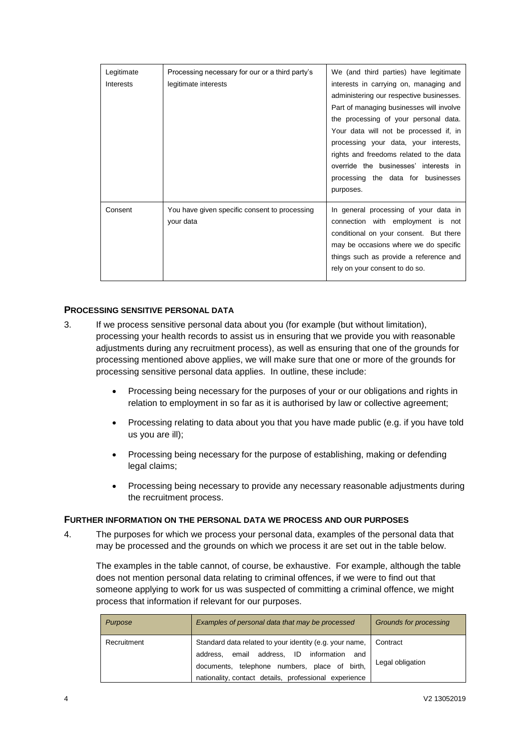| Legitimate<br>Interests | Processing necessary for our or a third party's<br>legitimate interests | We (and third parties) have legitimate<br>interests in carrying on, managing and<br>administering our respective businesses.<br>Part of managing businesses will involve<br>the processing of your personal data.<br>Your data will not be processed if, in<br>processing your data, your interests,<br>rights and freedoms related to the data<br>override the businesses' interests in<br>processing the data for businesses<br>purposes. |
|-------------------------|-------------------------------------------------------------------------|---------------------------------------------------------------------------------------------------------------------------------------------------------------------------------------------------------------------------------------------------------------------------------------------------------------------------------------------------------------------------------------------------------------------------------------------|
| Consent                 | You have given specific consent to processing<br>your data              | In general processing of your data in<br>connection with employment is not<br>conditional on your consent. But there<br>may be occasions where we do specific<br>things such as provide a reference and<br>rely on your consent to do so.                                                                                                                                                                                                   |

# **PROCESSING SENSITIVE PERSONAL DATA**

- 3. If we process sensitive personal data about you (for example (but without limitation), processing your health records to assist us in ensuring that we provide you with reasonable adjustments during any recruitment process), as well as ensuring that one of the grounds for processing mentioned above applies, we will make sure that one or more of the grounds for processing sensitive personal data applies. In outline, these include:
	- Processing being necessary for the purposes of your or our obligations and rights in relation to employment in so far as it is authorised by law or collective agreement;
	- Processing relating to data about you that you have made public (e.g. if you have told us you are ill);
	- Processing being necessary for the purpose of establishing, making or defending legal claims:
	- Processing being necessary to provide any necessary reasonable adjustments during the recruitment process.

#### **FURTHER INFORMATION ON THE PERSONAL DATA WE PROCESS AND OUR PURPOSES**

4. The purposes for which we process your personal data, examples of the personal data that may be processed and the grounds on which we process it are set out in the table below.

The examples in the table cannot, of course, be exhaustive. For example, although the table does not mention personal data relating to criminal offences, if we were to find out that someone applying to work for us was suspected of committing a criminal offence, we might process that information if relevant for our purposes.

| Purpose     | Examples of personal data that may be processed                                                                                                                                                                                        | Grounds for processing |
|-------------|----------------------------------------------------------------------------------------------------------------------------------------------------------------------------------------------------------------------------------------|------------------------|
| Recruitment | Standard data related to your identity (e.g. your name,   Contract<br>address,<br>ID<br>information<br>address, email<br>and<br>documents, telephone numbers, place of birth,<br>nationality, contact details, professional experience | Legal obligation       |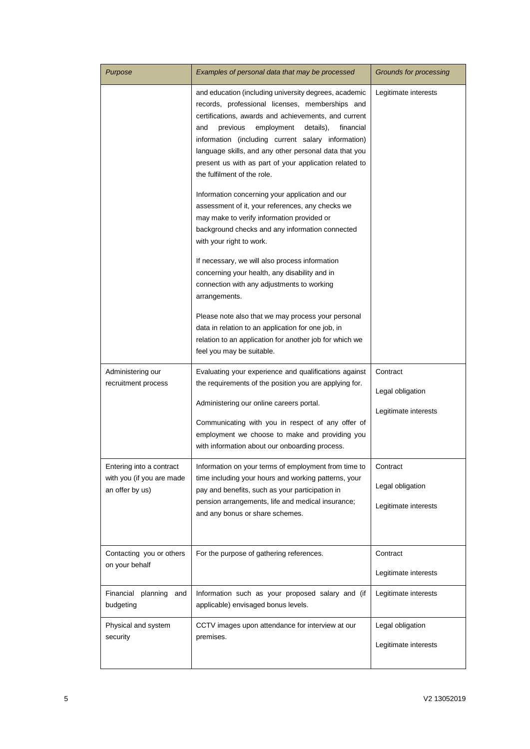| Purpose                                               | Examples of personal data that may be processed                                                                                                                                                                                                                                                                                                                                                                                     | Grounds for processing                   |
|-------------------------------------------------------|-------------------------------------------------------------------------------------------------------------------------------------------------------------------------------------------------------------------------------------------------------------------------------------------------------------------------------------------------------------------------------------------------------------------------------------|------------------------------------------|
|                                                       | and education (including university degrees, academic<br>records, professional licenses, memberships and<br>certifications, awards and achievements, and current<br>previous<br>employment<br>details),<br>financial<br>and<br>information (including current salary information)<br>language skills, and any other personal data that you<br>present us with as part of your application related to<br>the fulfilment of the role. | Legitimate interests                     |
|                                                       | Information concerning your application and our<br>assessment of it, your references, any checks we<br>may make to verify information provided or<br>background checks and any information connected<br>with your right to work.                                                                                                                                                                                                    |                                          |
|                                                       | If necessary, we will also process information<br>concerning your health, any disability and in<br>connection with any adjustments to working<br>arrangements.                                                                                                                                                                                                                                                                      |                                          |
|                                                       | Please note also that we may process your personal<br>data in relation to an application for one job, in<br>relation to an application for another job for which we<br>feel you may be suitable.                                                                                                                                                                                                                                    |                                          |
| Administering our<br>recruitment process              | Evaluating your experience and qualifications against<br>the requirements of the position you are applying for.                                                                                                                                                                                                                                                                                                                     | Contract                                 |
|                                                       | Administering our online careers portal.                                                                                                                                                                                                                                                                                                                                                                                            | Legal obligation<br>Legitimate interests |
|                                                       | Communicating with you in respect of any offer of<br>employment we choose to make and providing you<br>with information about our onboarding process.                                                                                                                                                                                                                                                                               |                                          |
| Entering into a contract<br>with you (if you are made | Information on your terms of employment from time to<br>time including your hours and working patterns, your                                                                                                                                                                                                                                                                                                                        | Contract                                 |
| an offer by us)                                       | pay and benefits, such as your participation in                                                                                                                                                                                                                                                                                                                                                                                     | Legal obligation                         |
|                                                       | pension arrangements, life and medical insurance;<br>and any bonus or share schemes.                                                                                                                                                                                                                                                                                                                                                | Legitimate interests                     |
| Contacting you or others<br>on your behalf            | For the purpose of gathering references.                                                                                                                                                                                                                                                                                                                                                                                            | Contract                                 |
|                                                       |                                                                                                                                                                                                                                                                                                                                                                                                                                     | Legitimate interests                     |
| Financial<br>planning<br>and<br>budgeting             | Information such as your proposed salary and (if<br>applicable) envisaged bonus levels.                                                                                                                                                                                                                                                                                                                                             | Legitimate interests                     |
| Physical and system<br>security                       | CCTV images upon attendance for interview at our<br>premises.                                                                                                                                                                                                                                                                                                                                                                       | Legal obligation                         |
|                                                       |                                                                                                                                                                                                                                                                                                                                                                                                                                     | Legitimate interests                     |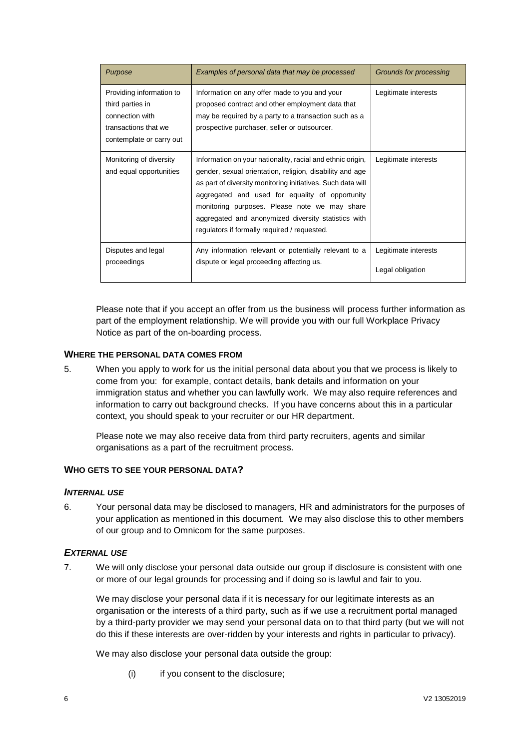| Purpose                                                                                                             | Examples of personal data that may be processed                                                                                                                                                                                                                                                                                                                                                  | Grounds for processing                   |
|---------------------------------------------------------------------------------------------------------------------|--------------------------------------------------------------------------------------------------------------------------------------------------------------------------------------------------------------------------------------------------------------------------------------------------------------------------------------------------------------------------------------------------|------------------------------------------|
| Providing information to<br>third parties in<br>connection with<br>transactions that we<br>contemplate or carry out | Information on any offer made to you and your<br>proposed contract and other employment data that<br>may be required by a party to a transaction such as a<br>prospective purchaser, seller or outsourcer.                                                                                                                                                                                       | Legitimate interests                     |
| Monitoring of diversity<br>and equal opportunities                                                                  | Information on your nationality, racial and ethnic origin,<br>gender, sexual orientation, religion, disability and age<br>as part of diversity monitoring initiatives. Such data will<br>aggregated and used for equality of opportunity<br>monitoring purposes. Please note we may share<br>aggregated and anonymized diversity statistics with<br>regulators if formally required / requested. | Legitimate interests                     |
| Disputes and legal<br>proceedings                                                                                   | Any information relevant or potentially relevant to a<br>dispute or legal proceeding affecting us.                                                                                                                                                                                                                                                                                               | Legitimate interests<br>Legal obligation |

Please note that if you accept an offer from us the business will process further information as part of the employment relationship. We will provide you with our full Workplace Privacy Notice as part of the on-boarding process.

# **WHERE THE PERSONAL DATA COMES FROM**

5. When you apply to work for us the initial personal data about you that we process is likely to come from you: for example, contact details, bank details and information on your immigration status and whether you can lawfully work. We may also require references and information to carry out background checks. If you have concerns about this in a particular context, you should speak to your recruiter or our HR department.

Please note we may also receive data from third party recruiters, agents and similar organisations as a part of the recruitment process.

#### **WHO GETS TO SEE YOUR PERSONAL DATA?**

#### *INTERNAL USE*

6. Your personal data may be disclosed to managers, HR and administrators for the purposes of your application as mentioned in this document. We may also disclose this to other members of our group and to Omnicom for the same purposes.

# *EXTERNAL USE*

7. We will only disclose your personal data outside our group if disclosure is consistent with one or more of our legal grounds for processing and if doing so is lawful and fair to you.

We may disclose your personal data if it is necessary for our legitimate interests as an organisation or the interests of a third party, such as if we use a recruitment portal managed by a third-party provider we may send your personal data on to that third party (but we will not do this if these interests are over-ridden by your interests and rights in particular to privacy).

We may also disclose your personal data outside the group:

(i) if you consent to the disclosure;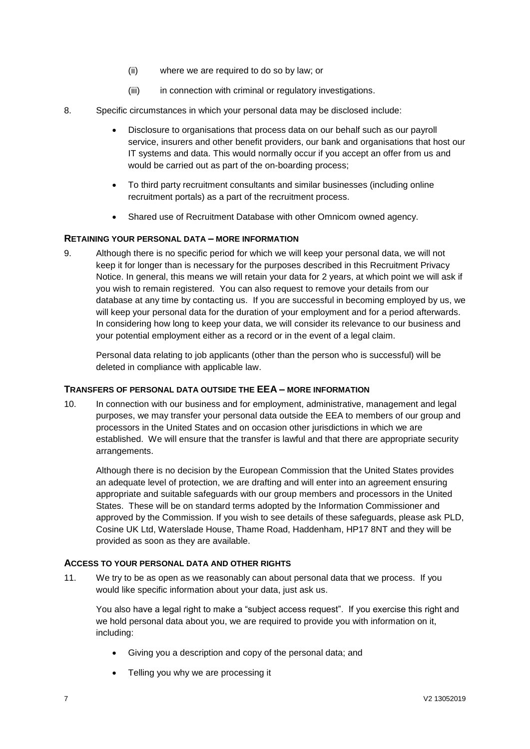- (ii) where we are required to do so by law; or
- (iii) in connection with criminal or regulatory investigations.
- 8. Specific circumstances in which your personal data may be disclosed include:
	- Disclosure to organisations that process data on our behalf such as our payroll service, insurers and other benefit providers, our bank and organisations that host our IT systems and data. This would normally occur if you accept an offer from us and would be carried out as part of the on-boarding process:
	- To third party recruitment consultants and similar businesses (including online recruitment portals) as a part of the recruitment process.
	- Shared use of Recruitment Database with other Omnicom owned agency.

# **RETAINING YOUR PERSONAL DATA – MORE INFORMATION**

9. Although there is no specific period for which we will keep your personal data, we will not keep it for longer than is necessary for the purposes described in this Recruitment Privacy Notice. In general, this means we will retain your data for 2 years, at which point we will ask if you wish to remain registered. You can also request to remove your details from our database at any time by contacting us. If you are successful in becoming employed by us, we will keep your personal data for the duration of your employment and for a period afterwards. In considering how long to keep your data, we will consider its relevance to our business and your potential employment either as a record or in the event of a legal claim.

Personal data relating to job applicants (other than the person who is successful) will be deleted in compliance with applicable law.

# **TRANSFERS OF PERSONAL DATA OUTSIDE THE EEA – MORE INFORMATION**

10. In connection with our business and for employment, administrative, management and legal purposes, we may transfer your personal data outside the EEA to members of our group and processors in the United States and on occasion other jurisdictions in which we are established. We will ensure that the transfer is lawful and that there are appropriate security arrangements.

Although there is no decision by the European Commission that the United States provides an adequate level of protection, we are drafting and will enter into an agreement ensuring appropriate and suitable safeguards with our group members and processors in the United States. These will be on standard terms adopted by the Information Commissioner and approved by the Commission. If you wish to see details of these safeguards, please ask PLD, Cosine UK Ltd, Waterslade House, Thame Road, Haddenham, HP17 8NT and they will be provided as soon as they are available.

# **ACCESS TO YOUR PERSONAL DATA AND OTHER RIGHTS**

11. We try to be as open as we reasonably can about personal data that we process. If you would like specific information about your data, just ask us.

You also have a legal right to make a "subject access request". If you exercise this right and we hold personal data about you, we are required to provide you with information on it, including:

- Giving you a description and copy of the personal data; and
- Telling you why we are processing it